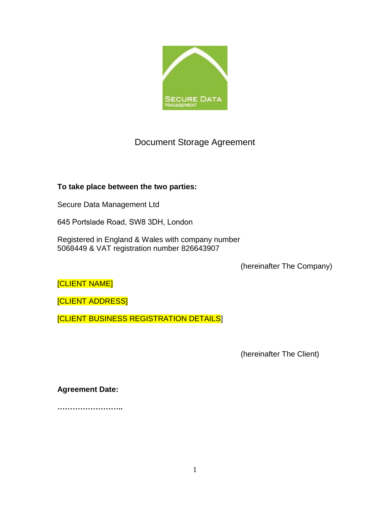

# Document Storage Agreement

# **To take place between the two parties:**

Secure Data Management Ltd

645 Portslade Road, SW8 3DH, London

Registered in England & Wales with company number 5068449 & VAT registration number 826643907

(hereinafter The Company)

[CLIENT NAME]

[CLIENT ADDRESS]

[CLIENT BUSINESS REGISTRATION DETAILS]

(hereinafter The Client)

**Agreement Date:**

**……………………..**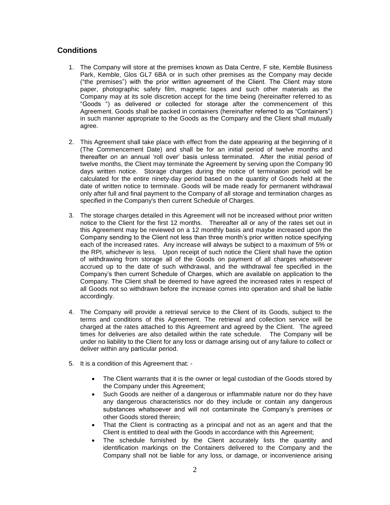# **Conditions**

- 1. The Company will store at the premises known as Data Centre, F site, Kemble Business Park, Kemble, Glos GL7 6BA or in such other premises as the Company may decide ("the premises") with the prior written agreement of the Client. The Client may store paper, photographic safety film, magnetic tapes and such other materials as the Company may at its sole discretion accept for the time being (hereinafter referred to as "Goods ") as delivered or collected for storage after the commencement of this Agreement. Goods shall be packed in containers (hereinafter referred to as "Containers") in such manner appropriate to the Goods as the Company and the Client shall mutually agree.
- 2. This Agreement shall take place with effect from the date appearing at the beginning of it (The Commencement Date) and shall be for an initial period of twelve months and thereafter on an annual 'roll over' basis unless terminated. After the initial period of twelve months, the Client may terminate the Agreement by serving upon the Company 90 days written notice. Storage charges during the notice of termination period will be calculated for the entire ninety-day period based on the quantity of Goods held at the date of written notice to terminate. Goods will be made ready for permanent withdrawal only after full and final payment to the Company of all storage and termination charges as specified in the Company's then current Schedule of Charges.
- 3. The storage charges detailed in this Agreement will not be increased without prior written notice to the Client for the first 12 months. Thereafter all or any of the rates set out in this Agreement may be reviewed on a 12 monthly basis and maybe increased upon the Company sending to the Client not less than three month's prior written notice specifying each of the increased rates. Any increase will always be subject to a maximum of 5% or the RPI, whichever is less. Upon receipt of such notice the Client shall have the option of withdrawing from storage all of the Goods on payment of all charges whatsoever accrued up to the date of such withdrawal, and the withdrawal fee specified in the Company's then current Schedule of Charges, which are available on application to the Company. The Client shall be deemed to have agreed the increased rates in respect of all Goods not so withdrawn before the increase comes into operation and shall be liable accordingly.
- 4. The Company will provide a retrieval service to the Client of its Goods, subject to the terms and conditions of this Agreement. The retrieval and collection service will be charged at the rates attached to this Agreement and agreed by the Client. The agreed times for deliveries are also detailed within the rate schedule. The Company will be under no liability to the Client for any loss or damage arising out of any failure to collect or deliver within any particular period.
- 5. It is a condition of this Agreement that:
	- The Client warrants that it is the owner or legal custodian of the Goods stored by the Company under this Agreement;
	- Such Goods are neither of a dangerous or inflammable nature nor do they have any dangerous characteristics nor do they include or contain any dangerous substances whatsoever and will not contaminate the Company's premises or other Goods stored therein;
	- That the Client is contracting as a principal and not as an agent and that the Client is entitled to deal with the Goods in accordance with this Agreement;
	- The schedule furnished by the Client accurately lists the quantity and identification markings on the Containers delivered to the Company and the Company shall not be liable for any loss, or damage, or inconvenience arising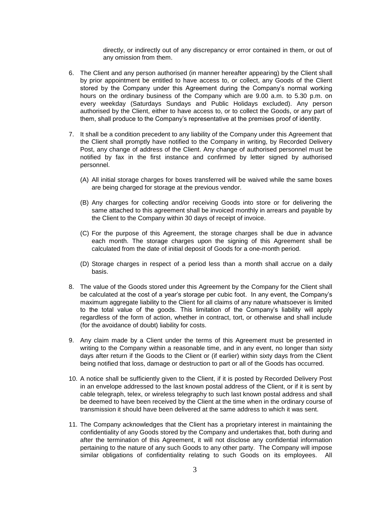directly, or indirectly out of any discrepancy or error contained in them, or out of any omission from them.

- 6. The Client and any person authorised (in manner hereafter appearing) by the Client shall by prior appointment be entitled to have access to, or collect, any Goods of the Client stored by the Company under this Agreement during the Company's normal working hours on the ordinary business of the Company which are 9.00 a.m. to 5.30 p.m. on every weekday (Saturdays Sundays and Public Holidays excluded). Any person authorised by the Client, either to have access to, or to collect the Goods, or any part of them, shall produce to the Company's representative at the premises proof of identity.
- 7. It shall be a condition precedent to any liability of the Company under this Agreement that the Client shall promptly have notified to the Company in writing, by Recorded Delivery Post, any change of address of the Client. Any change of authorised personnel must be notified by fax in the first instance and confirmed by letter signed by authorised personnel.
	- (A) All initial storage charges for boxes transferred will be waived while the same boxes are being charged for storage at the previous vendor.
	- (B) Any charges for collecting and/or receiving Goods into store or for delivering the same attached to this agreement shall be invoiced monthly in arrears and payable by the Client to the Company within 30 days of receipt of invoice.
	- (C) For the purpose of this Agreement, the storage charges shall be due in advance each month. The storage charges upon the signing of this Agreement shall be calculated from the date of initial deposit of Goods for a one-month period.
	- (D) Storage charges in respect of a period less than a month shall accrue on a daily basis.
- 8. The value of the Goods stored under this Agreement by the Company for the Client shall be calculated at the cost of a year's storage per cubic foot. In any event, the Company's maximum aggregate liability to the Client for all claims of any nature whatsoever is limited to the total value of the goods. This limitation of the Company's liability will apply regardless of the form of action, whether in contract, tort, or otherwise and shall include (for the avoidance of doubt) liability for costs.
- 9. Any claim made by a Client under the terms of this Agreement must be presented in writing to the Company within a reasonable time, and in any event, no longer than sixty days after return if the Goods to the Client or (if earlier) within sixty days from the Client being notified that loss, damage or destruction to part or all of the Goods has occurred.
- 10. A notice shall be sufficiently given to the Client, if it is posted by Recorded Delivery Post in an envelope addressed to the last known postal address of the Client, or if it is sent by cable telegraph, telex, or wireless telegraphy to such last known postal address and shall be deemed to have been received by the Client at the time when in the ordinary course of transmission it should have been delivered at the same address to which it was sent.
- 11. The Company acknowledges that the Client has a proprietary interest in maintaining the confidentiality of any Goods stored by the Company and undertakes that, both during and after the termination of this Agreement, it will not disclose any confidential information pertaining to the nature of any such Goods to any other party. The Company will impose similar obligations of confidentiality relating to such Goods on its employees. All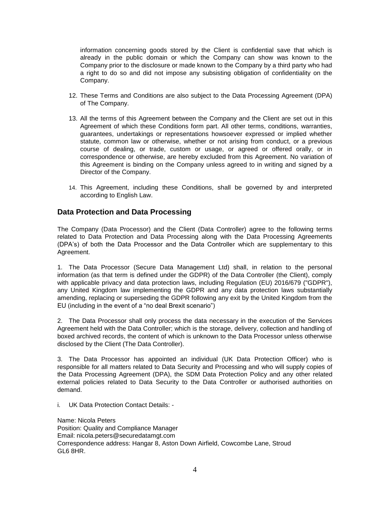information concerning goods stored by the Client is confidential save that which is already in the public domain or which the Company can show was known to the Company prior to the disclosure or made known to the Company by a third party who had a right to do so and did not impose any subsisting obligation of confidentiality on the Company.

- 12. These Terms and Conditions are also subject to the Data Processing Agreement (DPA) of The Company.
- 13. All the terms of this Agreement between the Company and the Client are set out in this Agreement of which these Conditions form part. All other terms, conditions, warranties, guarantees, undertakings or representations howsoever expressed or implied whether statute, common law or otherwise, whether or not arising from conduct, or a previous course of dealing, or trade, custom or usage, or agreed or offered orally, or in correspondence or otherwise, are hereby excluded from this Agreement. No variation of this Agreement is binding on the Company unless agreed to in writing and signed by a Director of the Company.
- 14. This Agreement, including these Conditions, shall be governed by and interpreted according to English Law.

# **Data Protection and Data Processing**

The Company (Data Processor) and the Client (Data Controller) agree to the following terms related to Data Protection and Data Processing along with the Data Processing Agreements (DPA's) of both the Data Processor and the Data Controller which are supplementary to this Agreement.

1. The Data Processor (Secure Data Management Ltd) shall, in relation to the personal information (as that term is defined under the GDPR) of the Data Controller (the Client), comply with applicable privacy and data protection laws, including Regulation (EU) 2016/679 ("GDPR"), any United Kingdom law implementing the GDPR and any data protection laws substantially amending, replacing or superseding the GDPR following any exit by the United Kingdom from the EU (including in the event of a "no deal Brexit scenario")

2. The Data Processor shall only process the data necessary in the execution of the Services Agreement held with the Data Controller; which is the storage, delivery, collection and handling of boxed archived records, the content of which is unknown to the Data Processor unless otherwise disclosed by the Client (The Data Controller).

3. The Data Processor has appointed an individual (UK Data Protection Officer) who is responsible for all matters related to Data Security and Processing and who will supply copies of the Data Processing Agreement (DPA), the SDM Data Protection Policy and any other related external policies related to Data Security to the Data Controller or authorised authorities on demand.

i. UK Data Protection Contact Details: -

Name: Nicola Peters Position: Quality and Compliance Manager Email: nicola.peters@securedatamgt.com Correspondence address: Hangar 8, Aston Down Airfield, Cowcombe Lane, Stroud GL6 8HR.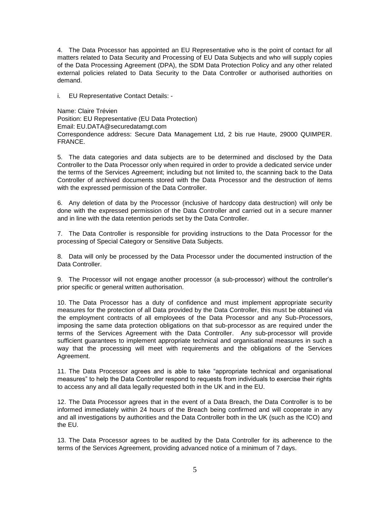4. The Data Processor has appointed an EU Representative who is the point of contact for all matters related to Data Security and Processing of EU Data Subjects and who will supply copies of the Data Processing Agreement (DPA), the SDM Data Protection Policy and any other related external policies related to Data Security to the Data Controller or authorised authorities on demand.

i. EU Representative Contact Details: -

Name: Claire Trévien Position: EU Representative (EU Data Protection) Email: EU.DATA@securedatamgt.com Correspondence address: Secure Data Management Ltd, 2 bis rue Haute, 29000 QUIMPER. FRANCE.

5. The data categories and data subjects are to be determined and disclosed by the Data Controller to the Data Processor only when required in order to provide a dedicated service under the terms of the Services Agreement; including but not limited to, the scanning back to the Data Controller of archived documents stored with the Data Processor and the destruction of items with the expressed permission of the Data Controller.

6. Any deletion of data by the Processor (inclusive of hardcopy data destruction) will only be done with the expressed permission of the Data Controller and carried out in a secure manner and in line with the data retention periods set by the Data Controller.

7. The Data Controller is responsible for providing instructions to the Data Processor for the processing of Special Category or Sensitive Data Subjects.

8. Data will only be processed by the Data Processor under the documented instruction of the Data Controller.

9. The Processor will not engage another processor (a sub-processor) without the controller's prior specific or general written authorisation.

10. The Data Processor has a duty of confidence and must implement appropriate security measures for the protection of all Data provided by the Data Controller, this must be obtained via the employment contracts of all employees of the Data Processor and any Sub-Processors, imposing the same data protection obligations on that sub-processor as are required under the terms of the Services Agreement with the Data Controller. Any sub-processor will provide sufficient guarantees to implement appropriate technical and organisational measures in such a way that the processing will meet with requirements and the obligations of the Services Agreement.

11. The Data Processor agrees and is able to take "appropriate technical and organisational measures" to help the Data Controller respond to requests from individuals to exercise their rights to access any and all data legally requested both in the UK and in the EU.

12. The Data Processor agrees that in the event of a Data Breach, the Data Controller is to be informed immediately within 24 hours of the Breach being confirmed and will cooperate in any and all investigations by authorities and the Data Controller both in the UK (such as the ICO) and the EU.

13. The Data Processor agrees to be audited by the Data Controller for its adherence to the terms of the Services Agreement, providing advanced notice of a minimum of 7 days.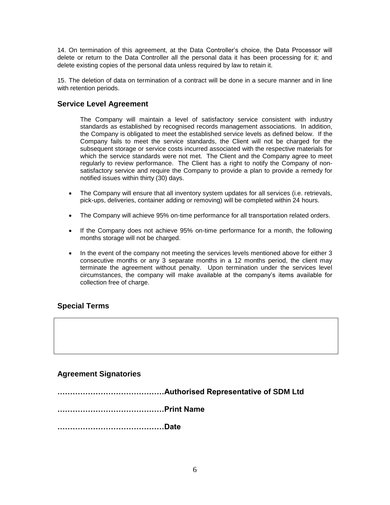14. On termination of this agreement, at the Data Controller's choice, the Data Processor will delete or return to the Data Controller all the personal data it has been processing for it; and delete existing copies of the personal data unless required by law to retain it.

15. The deletion of data on termination of a contract will be done in a secure manner and in line with retention periods.

### **Service Level Agreement**

The Company will maintain a level of satisfactory service consistent with industry standards as established by recognised records management associations. In addition, the Company is obligated to meet the established service levels as defined below. If the Company fails to meet the service standards, the Client will not be charged for the subsequent storage or service costs incurred associated with the respective materials for which the service standards were not met. The Client and the Company agree to meet regularly to review performance. The Client has a right to notify the Company of nonsatisfactory service and require the Company to provide a plan to provide a remedy for notified issues within thirty (30) days.

- The Company will ensure that all inventory system updates for all services (i.e. retrievals, pick-ups, deliveries, container adding or removing) will be completed within 24 hours.
- The Company will achieve 95% on-time performance for all transportation related orders.
- If the Company does not achieve 95% on-time performance for a month, the following months storage will not be charged.
- In the event of the company not meeting the services levels mentioned above for either 3 consecutive months or any 3 separate months in a 12 months period, the client may terminate the agreement without penalty. Upon termination under the services level circumstances, the company will make available at the company's items available for collection free of charge.

### **Special Terms**

### **Agreement Signatories**

**……………………………………Authorised Representative of SDM Ltd ……………………………………Print Name ……………………………………Date**